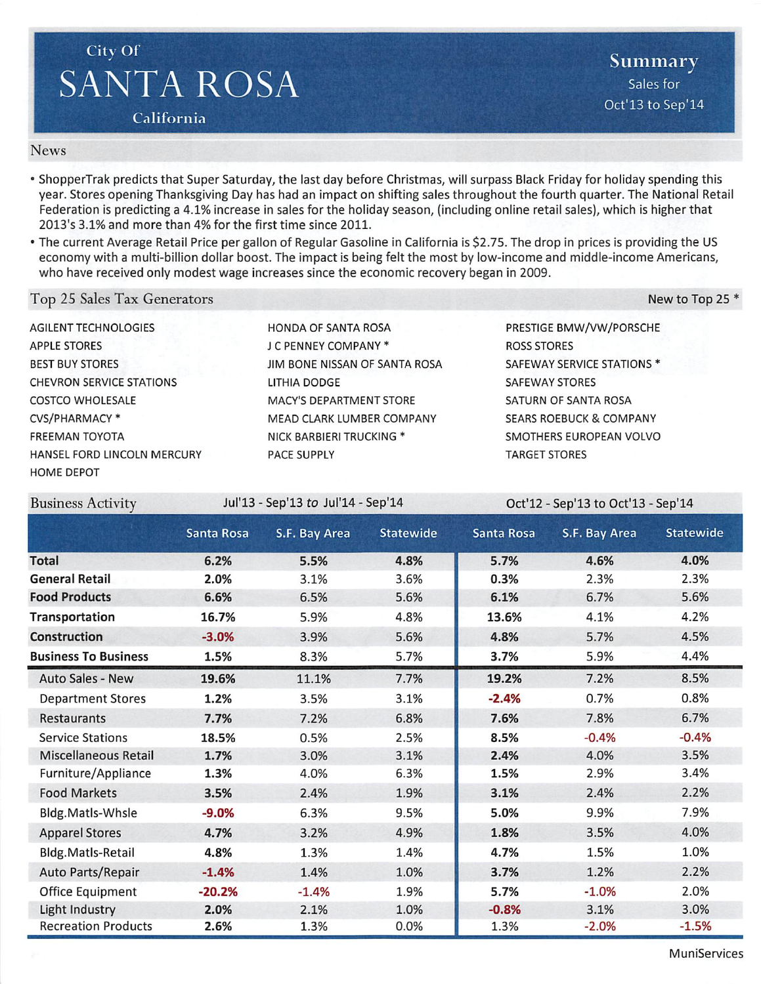## citv or SANTA ROSA

## News

- ShopperTrak predicts that Super Saturday, the last day before Christmas, will surpass Black Friday for holiday spending this year. Stores opening Thanksgiving Day has had an impact on shifting sales throughout the fourth quarter. The National Retail Federation is predicting a 4.1% increase in sales for the holiday season, (including online retail sales), which is higher that 2013's 3.1% and more than 4% for the first time since 2011.
- The current Average Retail Price per gallon of Regular Gasoline in California is \$2.75. The drop in prices is providing the US economy with a multi-billion dollar boost. The impact is being felt the most by low-income and middle-income Americans, who have received only modest wage increases since the economic recovery began in 2009.

## Top 25 Sales Tax Generators

Business Activity

New to Top 25

**AGILENT TECHNOLOGIES** APPLE STORES BEST BUY STORES CHEVRON SERVICE STATIONS COSTCO WHOLESALE CVS/PHARMACY \* FREEMAN TOYOTA HANSEL FORD LINCOLN MERCURY HOME DEPOT HONDA OF SANTA ROSA J C PENNEY COMPANY \* JIM BONE NISSAN OF SANTA ROSA LiTHIA DODGE MACY'S DEPARTMENT STORE MEAD CLARK LUMBER COMPANY NICK BARBIERI TRUCKING \* PACE SUPPLY

Jul'13 - Sep'13 to Jul'14 - Sep'14

PRESTIGE BMW/VW/PORSCHE ROSS STORES SAFEWAY SERVICE STATIONS \* SAFEWAY STORES SATURN OF SANTA ROSA SEARS ROEBUCK & COMPANY SMOTHERS EUROPEAN VOLVO TARGET STORES

Oct'12 - Sep'13 to Oct'13 - Sep'14

|                             | <b>Santa Rosa</b> | S.F. Bay Area | <b>Statewide</b> | <b>Santa Rosa</b> | S.F. Bay Area | <b>Statewide</b> |
|-----------------------------|-------------------|---------------|------------------|-------------------|---------------|------------------|
| Total                       | 6.2%              | 5.5%          | 4.8%             | 5.7%              | 4.6%          | 4.0%             |
| <b>General Retail</b>       | 2.0%              | 3.1%          | 3.6%             | 0.3%              | 2.3%          | 2.3%             |
| <b>Food Products</b>        | 6.6%              | 6.5%          | 5.6%             | 6.1%              | 6.7%          | 5.6%             |
| Transportation              | 16.7%             | 5.9%          | 4.8%             | 13.6%             | 4.1%          | 4.2%             |
| Construction                | $-3.0%$           | 3.9%          | 5.6%             | 4.8%              | 5.7%          | 4.5%             |
| <b>Business To Business</b> | 1.5%              | 8.3%          | 5.7%             | 3.7%              | 5.9%          | 4.4%             |
| <b>Auto Sales - New</b>     | 19.6%             | 11.1%         | 7.7%             | 19.2%             | 7.2%          | 8.5%             |
| <b>Department Stores</b>    | 1.2%              | 3.5%          | 3.1%             | $-2.4%$           | 0.7%          | 0.8%             |
| <b>Restaurants</b>          | 7.7%              | 7.2%          | 6.8%             | 7.6%              | 7.8%          | 6.7%             |
| <b>Service Stations</b>     | 18.5%             | 0.5%          | 2.5%             | 8.5%              | $-0.4%$       | $-0.4%$          |
| Miscellaneous Retail        | 1.7%              | 3.0%          | 3.1%             | 2.4%              | 4.0%          | 3.5%             |
| Furniture/Appliance         | 1.3%              | 4.0%          | 6.3%             | 1.5%              | 2.9%          | 3.4%             |
| <b>Food Markets</b>         | 3.5%              | 2.4%          | 1.9%             | 3.1%              | 2.4%          | 2.2%             |
| Bldg.Matls-Whsle            | $-9.0%$           | 6.3%          | 9.5%             | 5.0%              | 9.9%          | 7.9%             |
| <b>Apparel Stores</b>       | 4.7%              | 3.2%          | 4.9%             | 1.8%              | 3.5%          | 4.0%             |
| Bldg.Matls-Retail           | 4.8%              | 1.3%          | 1.4%             | 4.7%              | 1.5%          | 1.0%             |
| Auto Parts/Repair           | $-1.4%$           | 1.4%          | 1.0%             | 3.7%              | 1.2%          | 2.2%             |
| Office Equipment            | $-20.2%$          | $-1.4%$       | 1.9%             | 5.7%              | $-1.0%$       | 2.0%             |
| Light Industry              | 2.0%              | 2.1%          | 1.0%             | $-0.8%$           | 3.1%          | 3.0%             |
| <b>Recreation Products</b>  | 2.6%              | 1.3%          | 0.0%             | 1.3%              | $-2.0%$       | $-1.5%$          |

MuniServices